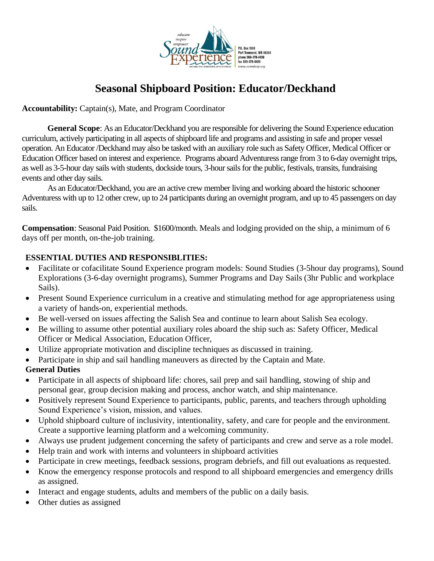

# **Seasonal Shipboard Position: Educator/Deckhand**

**Accountability:** Captain(s), Mate, and Program Coordinator

**General Scope**: As an Educator/Deckhand you are responsible for delivering the Sound Experience education curriculum, actively participating in all aspects of shipboard life and programs and assisting in safe and proper vessel operation. An Educator /Deckhand may also be tasked with an auxiliary role such as Safety Officer, Medical Officer or Education Officer based on interest and experience. Programs aboard Adventuress range from 3 to 6-day overnight trips, as well as 3-5-hour day sails with students, dockside tours, 3-hoursails for the public, festivals, transits, fundraising events and other day sails.

As an Educator/Deckhand, you are an active crew member living and working aboard the historic schooner Adventuress with up to 12 other crew, up to 24 participants during an overnight program, and up to 45 passengers on day sails.

**Compensation**: Seasonal Paid Position. \$1600/month. Meals and lodging provided on the ship, a minimum of 6 days off per month, on-the-job training.

# **ESSENTIAL DUTIES AND RESPONSIBLITIES:**

- Facilitate or cofacilitate Sound Experience program models: Sound Studies (3-5 hour day programs), Sound Explorations (3-6-day overnight programs), Summer Programs and Day Sails (3hr Public and workplace Sails).
- Present Sound Experience curriculum in a creative and stimulating method for age appropriateness using a variety of hands-on, experiential methods.
- Be well-versed on issues affecting the Salish Sea and continue to learn about Salish Sea ecology.
- Be willing to assume other potential auxiliary roles aboard the ship such as: Safety Officer, Medical Officer or Medical Association, Education Officer,
- Utilize appropriate motivation and discipline techniques as discussed in training.
- Participate in ship and sail handling maneuvers as directed by the Captain and Mate.

# **General Duties**

- Participate in all aspects of shipboard life: chores, sail prep and sail handling, stowing of ship and personal gear, group decision making and process, anchor watch, and ship maintenance.
- Positively represent Sound Experience to participants, public, parents, and teachers through upholding Sound Experience's vision, mission, and values.
- Uphold shipboard culture of inclusivity, intentionality, safety, and care for people and the environment. Create a supportive learning platform and a welcoming community.
- Always use prudent judgement concerning the safety of participants and crew and serve as a role model.
- Help train and work with interns and volunteers in shipboard activities
- Participate in crew meetings, feedback sessions, program debriefs, and fill out evaluations as requested.
- Know the emergency response protocols and respond to all shipboard emergencies and emergency drills as assigned.
- Interact and engage students, adults and members of the public on a daily basis.
- Other duties as assigned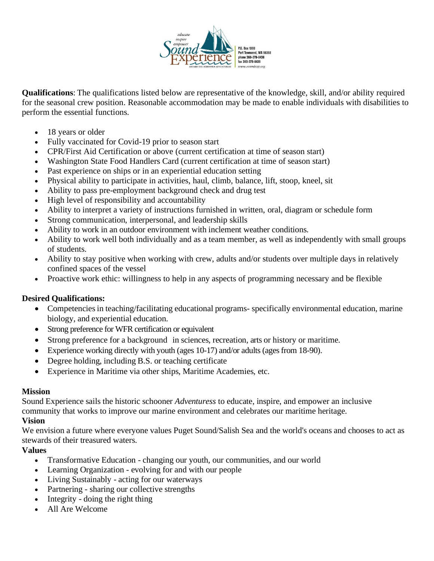

**Qualifications**: The qualifications listed below are representative of the knowledge, skill, and/or ability required for the seasonal crew position. Reasonable accommodation may be made to enable individuals with disabilities to perform the essential functions.

- 18 years or older
- Fully vaccinated for Covid-19 prior to season start
- CPR/First Aid Certification or above (current certification at time of season start)
- Washington State Food Handlers Card (current certification at time of season start)
- Past experience on ships or in an experiential education setting
- Physical ability to participate in activities, haul, climb, balance, lift, stoop, kneel, sit
- Ability to pass pre-employment background check and drug test
- High level of responsibility and accountability
- Ability to interpret a variety of instructions furnished in written, oral, diagram or schedule form
- Strong communication, interpersonal, and leadership skills
- Ability to work in an outdoor environment with inclement weather conditions.
- Ability to work well both individually and as a team member, as well as independently with small groups of students.
- Ability to stay positive when working with crew, adults and/or students over multiple days in relatively confined spaces of the vessel
- Proactive work ethic: willingness to help in any aspects of programming necessary and be flexible

### **Desired Qualifications:**

- Competencies in teaching/facilitating educational programs- specifically environmental education, marine biology, and experiential education.
- Strong preference for WFR certification or equivalent
- Strong preference for a background in sciences, recreation, arts or history or maritime.
- Experience working directly with youth (ages 10-17) and/or adults (ages from 18-90).
- Degree holding, including B.S. or teaching certificate
- Experience in Maritime via other ships, Maritime Academies, etc.

### **Mission**

Sound Experience sails the historic schooner *Adventuress* to educate, inspire, and empower an inclusive community that works to improve our marine environment and celebrates our maritime heritage. **Vision**

We envision a future where everyone values Puget Sound/Salish Sea and the world's oceans and chooses to act as stewards of their treasured waters.

# **Values**

- Transformative Education changing our youth, our communities, and our world
- Learning Organization evolving for and with our people
- Living Sustainably acting for our waterways
- Partnering sharing our collective strengths
- Integrity doing the right thing
- All Are Welcome